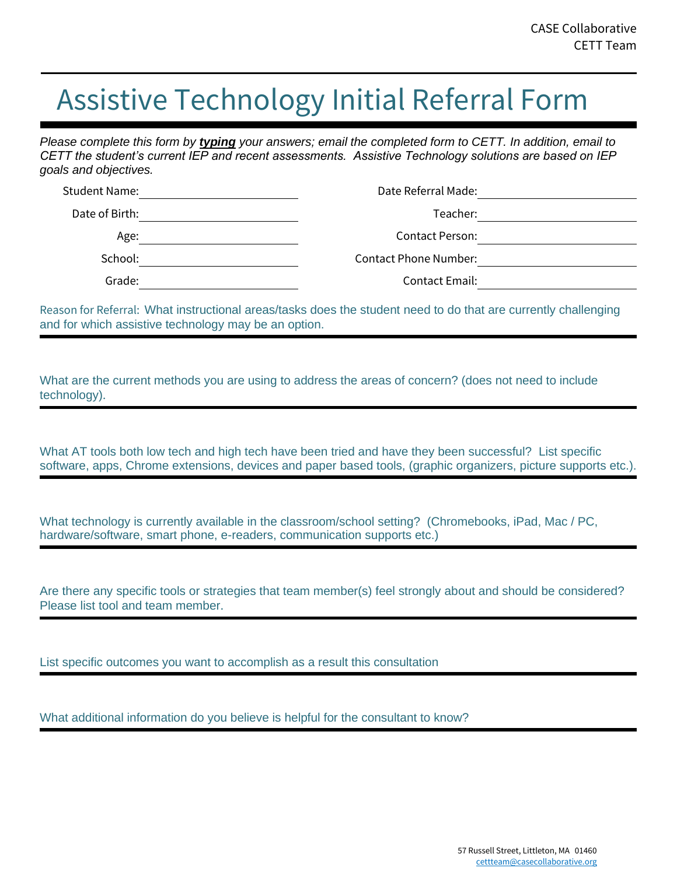## Assistive Technology Initial Referral Form

*Please complete this form by typing your answers; email the completed form to CETT. In addition, email to CETT the student's current IEP and recent assessments. Assistive Technology solutions are based on IEP goals and objectives.*

| Date Referral Made:          | Student Name:  |
|------------------------------|----------------|
| Teacher:                     | Date of Birth: |
| Contact Person:              | Age:           |
| <b>Contact Phone Number:</b> | School:        |
| <b>Contact Email:</b>        | Grade:         |

Reason for Referral: What instructional areas/tasks does the student need to do that are currently challenging and for which assistive technology may be an option.

What are the current methods you are using to address the areas of concern? (does not need to include technology).

What AT tools both low tech and high tech have been tried and have they been successful? List specific software, apps, Chrome extensions, devices and paper based tools, (graphic organizers, picture supports etc.).

What technology is currently available in the classroom/school setting? (Chromebooks, iPad, Mac / PC, hardware/software, smart phone, e-readers, communication supports etc.)

Are there any specific tools or strategies that team member(s) feel strongly about and should be considered? Please list tool and team member.

List specific outcomes you want to accomplish as a result this consultation

What additional information do you believe is helpful for the consultant to know?